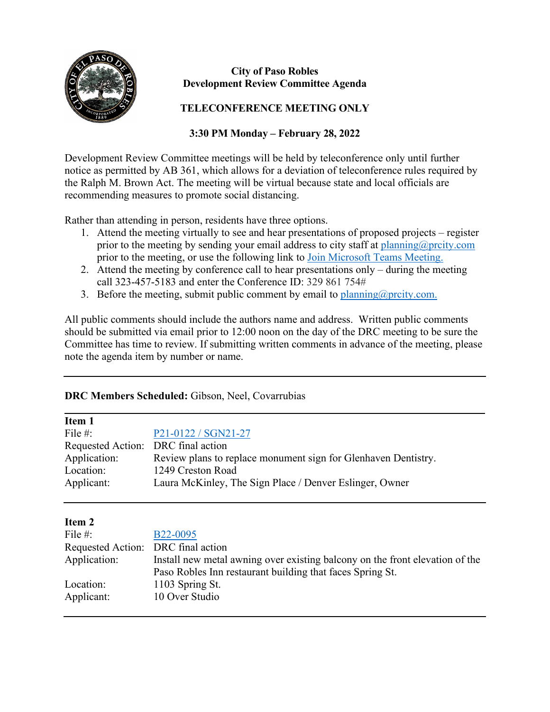

# **City of Paso Robles Development Review Committee Agenda**

# **TELECONFERENCE MEETING ONLY**

# **3:30 PM Monday – February 28, 2022**

Development Review Committee meetings will be held by teleconference only until further notice as permitted by AB 361, which allows for a deviation of teleconference rules required by the Ralph M. Brown Act. The meeting will be virtual because state and local officials are recommending measures to promote social distancing.

Rather than attending in person, residents have three options.

- 1. Attend the meeting virtually to see and hear presentations of proposed projects register prior to the meeting by sending your email address to city staff at [planning@prcity.com](mailto:planning@prcity.com) prior to the meeting, or use the following link to [Join Microsoft Teams Meeting.](https://teams.microsoft.com/l/meetup-join/19%3ameeting_NmE3OTMwYzktZTAxNy00MjdmLTliNjMtYmY1N2E5Mjg5NGE1%40thread.v2/0?context=%7b%22Tid%22%3a%221a5b5698-d524-42f2-abba-fb4615f7b1d6%22%2c%22Oid%22%3a%2266ba4e2a-3671-4e72-9d7a-eef3135a0aef%22%7d)
- 2. Attend the meeting by conference call to hear presentations only during the meeting call 323-457-5183 and enter the Conference ID: 329 861 754#
- 3. Before the meeting, submit public comment by email to planning  $@$  proxity.com.

All public comments should include the authors name and address. Written public comments should be submitted via email prior to 12:00 noon on the day of the DRC meeting to be sure the Committee has time to review. If submitting written comments in advance of the meeting, please note the agenda item by number or name.

## **DRC Members Scheduled:** Gibson, Neel, Covarrubias

| Item 1                             |                                                                |
|------------------------------------|----------------------------------------------------------------|
| File $#$ :                         | P21-0122 / SGN21-27                                            |
| Requested Action: DRC final action |                                                                |
| Application:                       | Review plans to replace monument sign for Glenhaven Dentistry. |
| Location:                          | 1249 Creston Road                                              |
| Applicant:                         | Laura McKinley, The Sign Place / Denver Eslinger, Owner        |
|                                    |                                                                |

## **Item 2**

| File $#$ :                         | B <sub>22</sub> -0095                                                        |
|------------------------------------|------------------------------------------------------------------------------|
| Requested Action: DRC final action |                                                                              |
| Application:                       | Install new metal awning over existing balcony on the front elevation of the |
|                                    | Paso Robles Inn restaurant building that faces Spring St.                    |
| Location:                          | 1103 Spring St.                                                              |
| Applicant:                         | 10 Over Studio                                                               |
|                                    |                                                                              |